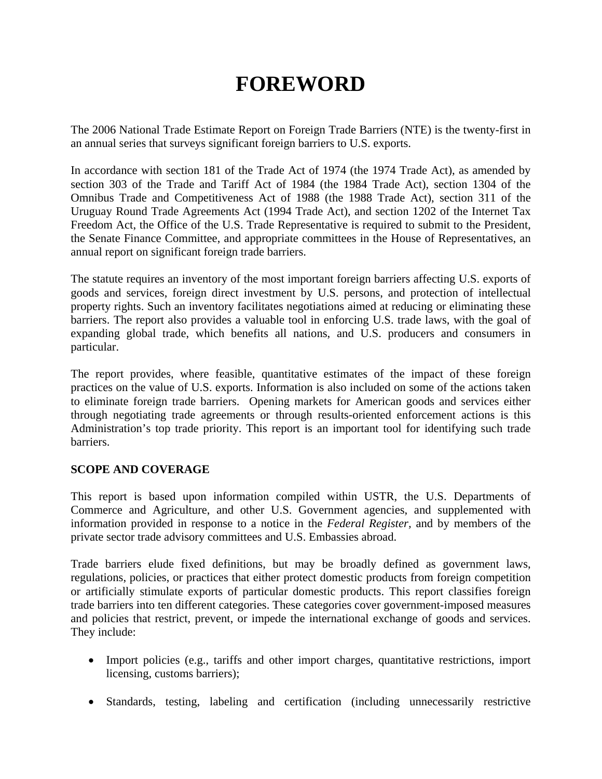## **FOREWORD**

The 2006 National Trade Estimate Report on Foreign Trade Barriers (NTE) is the twenty-first in an annual series that surveys significant foreign barriers to U.S. exports.

In accordance with section 181 of the Trade Act of 1974 (the 1974 Trade Act), as amended by section 303 of the Trade and Tariff Act of 1984 (the 1984 Trade Act), section 1304 of the Omnibus Trade and Competitiveness Act of 1988 (the 1988 Trade Act), section 311 of the Uruguay Round Trade Agreements Act (1994 Trade Act), and section 1202 of the Internet Tax Freedom Act, the Office of the U.S. Trade Representative is required to submit to the President, the Senate Finance Committee, and appropriate committees in the House of Representatives, an annual report on significant foreign trade barriers.

The statute requires an inventory of the most important foreign barriers affecting U.S. exports of goods and services, foreign direct investment by U.S. persons, and protection of intellectual property rights. Such an inventory facilitates negotiations aimed at reducing or eliminating these barriers. The report also provides a valuable tool in enforcing U.S. trade laws, with the goal of expanding global trade, which benefits all nations, and U.S. producers and consumers in particular.

The report provides, where feasible, quantitative estimates of the impact of these foreign practices on the value of U.S. exports. Information is also included on some of the actions taken to eliminate foreign trade barriers. Opening markets for American goods and services either through negotiating trade agreements or through results-oriented enforcement actions is this Administration's top trade priority. This report is an important tool for identifying such trade barriers.

## **SCOPE AND COVERAGE**

This report is based upon information compiled within USTR, the U.S. Departments of Commerce and Agriculture, and other U.S. Government agencies, and supplemented with information provided in response to a notice in the *Federal Register,* and by members of the private sector trade advisory committees and U.S. Embassies abroad.

Trade barriers elude fixed definitions, but may be broadly defined as government laws, regulations, policies, or practices that either protect domestic products from foreign competition or artificially stimulate exports of particular domestic products. This report classifies foreign trade barriers into ten different categories. These categories cover government-imposed measures and policies that restrict, prevent, or impede the international exchange of goods and services. They include:

- Import policies (e.g., tariffs and other import charges, quantitative restrictions, import licensing, customs barriers);
- Standards, testing, labeling and certification (including unnecessarily restrictive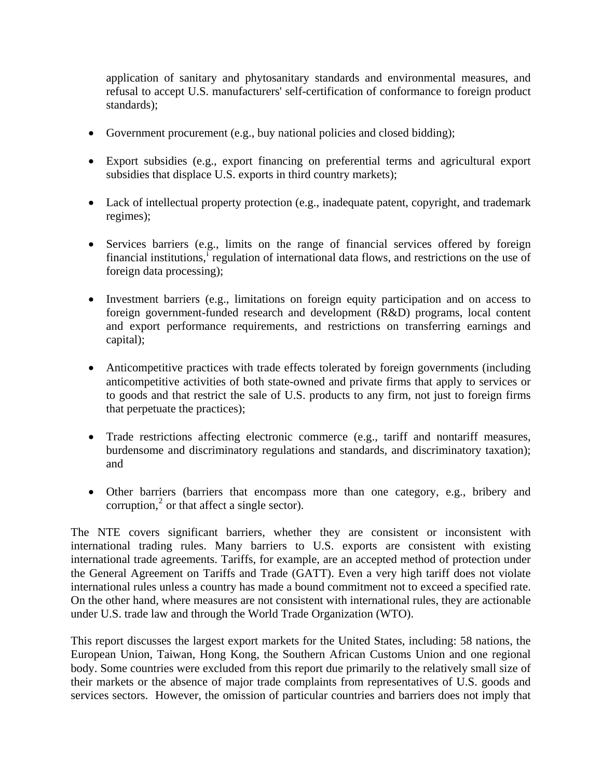application of sanitary and phytosanitary standards and environmental measures, and refusal to accept U.S. manufacturers' self-certification of conformance to foreign product standards);

- Government procurement (e.g., buy national policies and closed bidding);
- Export subsidies (e.g., export financing on preferential terms and agricultural export subsidies that displace U.S. exports in third country markets);
- Lack of intellectual property protection (e.g., inadequate patent, copyright, and trademark regimes);
- Services barriers (e.g., limits on the range of financial services offered by foreign f[i](#page-5-0)nancial institutions,<sup>i</sup> regulation of international data flows, and restrictions on the use of foreign data processing);
- Investment barriers (e.g., limitations on foreign equity participation and on access to foreign government-funded research and development (R&D) programs, local content and export performance requirements, and restrictions on transferring earnings and capital);
- Anticompetitive practices with trade effects tolerated by foreign governments (including anticompetitive activities of both state-owned and private firms that apply to services or to goods and that restrict the sale of U.S. products to any firm, not just to foreign firms that perpetuate the practices);
- Trade restrictions affecting electronic commerce (e.g., tariff and nontariff measures, burdensome and discriminatory regulations and standards, and discriminatory taxation); and
- Other barriers (barriers that encompass more than one category, e.g., bribery and corruption, $<sup>2</sup>$  $<sup>2</sup>$  $<sup>2</sup>$  or that affect a single sector).</sup>

The NTE covers significant barriers, whether they are consistent or inconsistent with international trading rules. Many barriers to U.S. exports are consistent with existing international trade agreements. Tariffs, for example, are an accepted method of protection under the General Agreement on Tariffs and Trade (GATT). Even a very high tariff does not violate international rules unless a country has made a bound commitment not to exceed a specified rate. On the other hand, where measures are not consistent with international rules, they are actionable under U.S. trade law and through the World Trade Organization (WTO).

This report discusses the largest export markets for the United States, including: 58 nations, the European Union, Taiwan, Hong Kong, the Southern African Customs Union and one regional body. Some countries were excluded from this report due primarily to the relatively small size of their markets or the absence of major trade complaints from representatives of U.S. goods and services sectors. However, the omission of particular countries and barriers does not imply that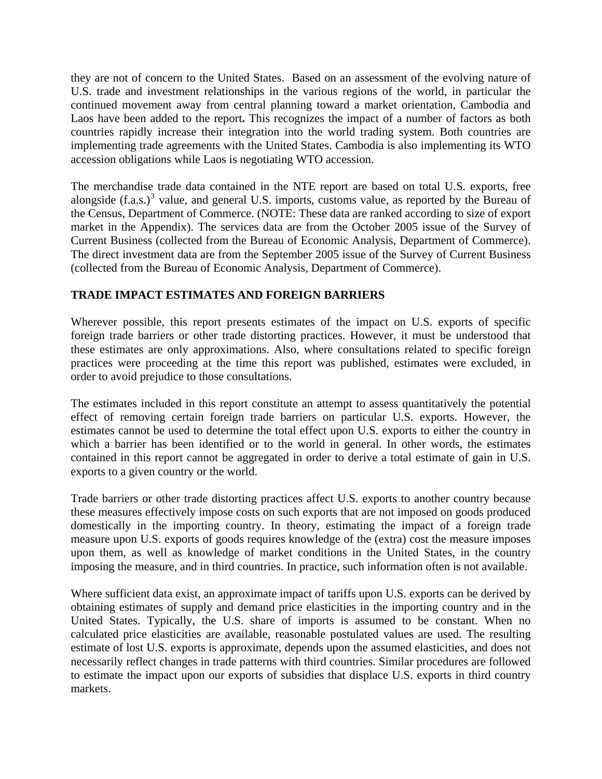they are not of concern to the United States. Based on an assessment of the evolving nature of U.S. trade and investment relationships in the various regions of the world, in particular the continued movement away from central planning toward a market orientation, Cambodia and Laos have been added to the report**.** This recognizes the impact of a number of factors as both countries rapidly increase their integration into the world trading system. Both countries are implementing trade agreements with the United States. Cambodia is also implementing its WTO accession obligations while Laos is negotiating WTO accession.

The merchandise trade data contained in the NTE report are based on total U.S. exports, free alongside  $(f.a.s.)^3$  $(f.a.s.)^3$  value, and general U.S. imports, customs value, as reported by the Bureau of the Census, Department of Commerce. (NOTE: These data are ranked according to size of export market in the Appendix). The services data are from the October 2005 issue of the Survey of Current Business (collected from the Bureau of Economic Analysis, Department of Commerce). The direct investment data are from the September 2005 issue of the Survey of Current Business (collected from the Bureau of Economic Analysis, Department of Commerce).

## **TRADE IMPACT ESTIMATES AND FOREIGN BARRIERS**

Wherever possible, this report presents estimates of the impact on U.S. exports of specific foreign trade barriers or other trade distorting practices. However, it must be understood that these estimates are only approximations. Also, where consultations related to specific foreign practices were proceeding at the time this report was published, estimates were excluded, in order to avoid prejudice to those consultations.

The estimates included in this report constitute an attempt to assess quantitatively the potential effect of removing certain foreign trade barriers on particular U.S. exports. However, the estimates cannot be used to determine the total effect upon U.S. exports to either the country in which a barrier has been identified or to the world in general. In other words, the estimates contained in this report cannot be aggregated in order to derive a total estimate of gain in U.S. exports to a given country or the world.

Trade barriers or other trade distorting practices affect U.S. exports to another country because these measures effectively impose costs on such exports that are not imposed on goods produced domestically in the importing country. In theory, estimating the impact of a foreign trade measure upon U.S. exports of goods requires knowledge of the (extra) cost the measure imposes upon them, as well as knowledge of market conditions in the United States, in the country imposing the measure, and in third countries. In practice, such information often is not available.

Where sufficient data exist, an approximate impact of tariffs upon U.S. exports can be derived by obtaining estimates of supply and demand price elasticities in the importing country and in the United States. Typically, the U.S. share of imports is assumed to be constant. When no calculated price elasticities are available, reasonable postulated values are used. The resulting estimate of lost U.S. exports is approximate, depends upon the assumed elasticities, and does not necessarily reflect changes in trade patterns with third countries. Similar procedures are followed to estimate the impact upon our exports of subsidies that displace U.S. exports in third country markets.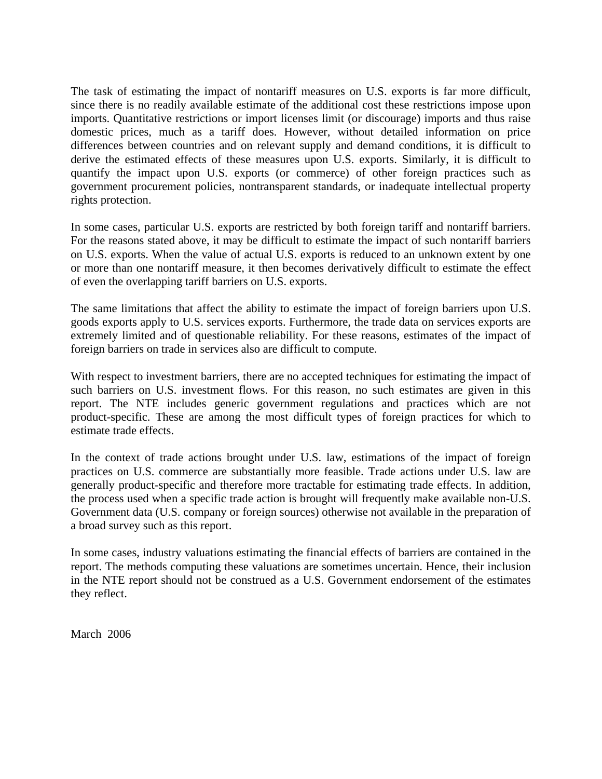The task of estimating the impact of nontariff measures on U.S. exports is far more difficult, since there is no readily available estimate of the additional cost these restrictions impose upon imports. Quantitative restrictions or import licenses limit (or discourage) imports and thus raise domestic prices, much as a tariff does. However, without detailed information on price differences between countries and on relevant supply and demand conditions, it is difficult to derive the estimated effects of these measures upon U.S. exports. Similarly, it is difficult to quantify the impact upon U.S. exports (or commerce) of other foreign practices such as government procurement policies, nontransparent standards, or inadequate intellectual property rights protection.

In some cases, particular U.S. exports are restricted by both foreign tariff and nontariff barriers. For the reasons stated above, it may be difficult to estimate the impact of such nontariff barriers on U.S. exports. When the value of actual U.S. exports is reduced to an unknown extent by one or more than one nontariff measure, it then becomes derivatively difficult to estimate the effect of even the overlapping tariff barriers on U.S. exports.

The same limitations that affect the ability to estimate the impact of foreign barriers upon U.S. goods exports apply to U.S. services exports. Furthermore, the trade data on services exports are extremely limited and of questionable reliability. For these reasons, estimates of the impact of foreign barriers on trade in services also are difficult to compute.

With respect to investment barriers, there are no accepted techniques for estimating the impact of such barriers on U.S. investment flows. For this reason, no such estimates are given in this report. The NTE includes generic government regulations and practices which are not product-specific. These are among the most difficult types of foreign practices for which to estimate trade effects.

In the context of trade actions brought under U.S. law, estimations of the impact of foreign practices on U.S. commerce are substantially more feasible. Trade actions under U.S. law are generally product-specific and therefore more tractable for estimating trade effects. In addition, the process used when a specific trade action is brought will frequently make available non-U.S. Government data (U.S. company or foreign sources) otherwise not available in the preparation of a broad survey such as this report.

In some cases, industry valuations estimating the financial effects of barriers are contained in the report. The methods computing these valuations are sometimes uncertain. Hence, their inclusion in the NTE report should not be construed as a U.S. Government endorsement of the estimates they reflect.

March 2006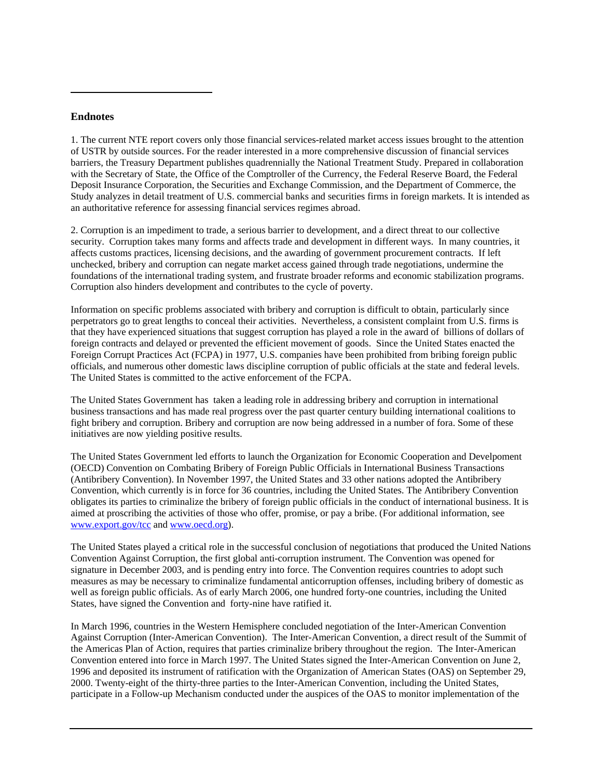## **Endnotes**

 $\overline{a}$ 

1. The current NTE report covers only those financial services-related market access issues brought to the attention of USTR by outside sources. For the reader interested in a more comprehensive discussion of financial services barriers, the Treasury Department publishes quadrennially the National Treatment Study. Prepared in collaboration with the Secretary of State, the Office of the Comptroller of the Currency, the Federal Reserve Board, the Federal Deposit Insurance Corporation, the Securities and Exchange Commission, and the Department of Commerce, the Study analyzes in detail treatment of U.S. commercial banks and securities firms in foreign markets. It is intended as an authoritative reference for assessing financial services regimes abroad.

2. Corruption is an impediment to trade, a serious barrier to development, and a direct threat to our collective security. Corruption takes many forms and affects trade and development in different ways. In many countries, it affects customs practices, licensing decisions, and the awarding of government procurement contracts. If left unchecked, bribery and corruption can negate market access gained through trade negotiations, undermine the foundations of the international trading system, and frustrate broader reforms and economic stabilization programs. Corruption also hinders development and contributes to the cycle of poverty.

Information on specific problems associated with bribery and corruption is difficult to obtain, particularly since perpetrators go to great lengths to conceal their activities. Nevertheless, a consistent complaint from U.S. firms is that they have experienced situations that suggest corruption has played a role in the award of billions of dollars of foreign contracts and delayed or prevented the efficient movement of goods. Since the United States enacted the Foreign Corrupt Practices Act (FCPA) in 1977, U.S. companies have been prohibited from bribing foreign public officials, and numerous other domestic laws discipline corruption of public officials at the state and federal levels. The United States is committed to the active enforcement of the FCPA.

The United States Government has taken a leading role in addressing bribery and corruption in international business transactions and has made real progress over the past quarter century building international coalitions to fight bribery and corruption. Bribery and corruption are now being addressed in a number of fora. Some of these initiatives are now yielding positive results.

The United States Government led efforts to launch the Organization for Economic Cooperation and Develpoment (OECD) Convention on Combating Bribery of Foreign Public Officials in International Business Transactions (Antibribery Convention). In November 1997, the United States and 33 other nations adopted the Antibribery Convention, which currently is in force for 36 countries, including the United States. The Antibribery Convention obligates its parties to criminalize the bribery of foreign public officials in the conduct of international business. It is aimed at proscribing the activities of those who offer, promise, or pay a bribe. (For additional information, see [www.export.gov/tcc](http://www.export.gov/tcc) and [www.oecd.org\)](http://www.oecd.org/).

The United States played a critical role in the successful conclusion of negotiations that produced the United Nations Convention Against Corruption, the first global anti-corruption instrument. The Convention was opened for signature in December 2003, and is pending entry into force. The Convention requires countries to adopt such measures as may be necessary to criminalize fundamental anticorruption offenses, including bribery of domestic as well as foreign public officials. As of early March 2006, one hundred forty-one countries, including the United States, have signed the Convention and forty-nine have ratified it.

In March 1996, countries in the Western Hemisphere concluded negotiation of the Inter-American Convention Against Corruption (Inter-American Convention). The Inter-American Convention, a direct result of the Summit of the Americas Plan of Action, requires that parties criminalize bribery throughout the region. The Inter-American Convention entered into force in March 1997. The United States signed the Inter-American Convention on June 2, 1996 and deposited its instrument of ratification with the Organization of American States (OAS) on September 29, 2000. Twenty-eight of the thirty-three parties to the Inter-American Convention, including the United States, participate in a Follow-up Mechanism conducted under the auspices of the OAS to monitor implementation of the